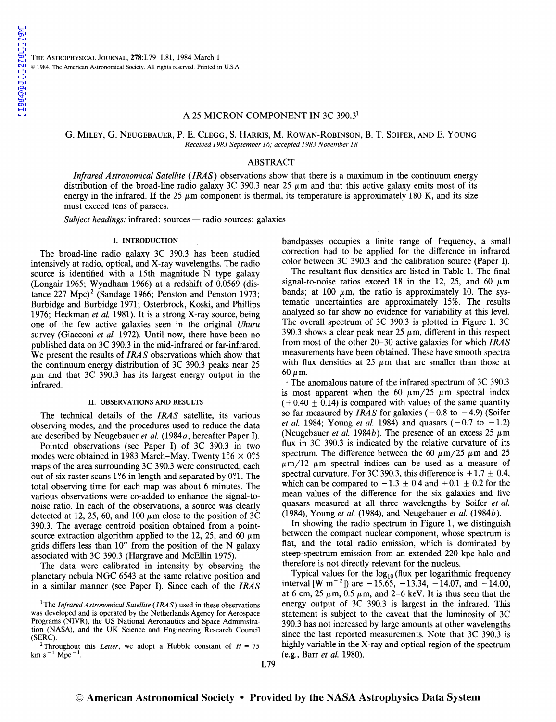# A 25 MICRON COMPONENT IN 3C 390.3<sup>1</sup>

G. MILEY, G. NEUGEBAUER, P. E. CLEGG, S. HARRIS, M. ROWAN-ROBINSON, B. T. SOIFER, AND E. YOUNG *Received 1983September16; accepted 1983November18* 

### ABSTRACT

Infrared *Astronomical Satellite* (IRAS) observations show that there is a maximum in the continuum energy distribution of the broad-line radio galaxy 3C 390.3 near 25  $\mu$ m and that this active galaxy emits most of its energy in the infrared. If the 25  $\mu$ m component is thermal, its temperature is approximately 180 K, and its size must exceed tens of parsecs.

*Subject headings:* infrared: sources - radio sources: galaxies

#### I. INTRODUCTION

The broad-line radio galaxy 3C 390.3 has been studied intensively at radio, optical, and X-ray wavelengths. The radio source is identified with a 15th magnitude N type galaxy (Longair 1965; Wyndham 1966) at a redshift of 0.0569 (distance  $227 \text{ Mpc}^2$  (Sandage 1966; Penston and Penston 1973; Burbidge and Burbidge 1971; Osterbrock, Koski, and Phillips 1976; Heckman *et al.* 1981). It is a strong X-ray source, being one of the few active galaxies seen in the original *Uhuru*  survey (Giacconi *et al.* 1972). Until now, there have been no published data on 3C 390.3 in the mid-infrared or far-infrared. We present the results of *IRAS* observations which show that the continuum energy distribution of 3C 390.3 peaks near 25  $\mu$ m and that 3C 390.3 has its largest energy output in the infrared.

# II. OBSERVATIONS AND RESULTS

The technical details of the *IRAS* satellite, its various observing modes, and the procedures used to reduce the data are described by Neugebauer *et al.* (1984a, hereafter Paper I).

Pointed observations (see Paper I) of 3C 390.3 in two modes were obtained in 1983 March-May. Twenty  $1\degree 6 \times 0\degree 5$ maps of the area surrounding 3C 390.3 were constructed, each out of six raster scans 1 ?6 in length and separated by O?l. The total observing time for each map was about 6 minutes. The various observations were co-added to enhance the signal-tonoise ratio. In each of the observations, a source was clearly detected at 12, 25, 60, and 100  $\mu$ m close to the position of 3C 390.3. The average centroid position obtained from a pointsource extraction algorithm applied to the 12, 25, and 60  $\mu$ m grids differs less than 10" from the position of the N galaxy associated with 3C 390.3 (Hargrave and McEllin 1975).

The data were calibrated in intensity by observing the planetary nebula NGC 6543 at the same relative position and in a similar manner (see Paper I). Since each of the *IRAS*  bandpasses occupies a finite range of frequency, a small correction had to be applied for the difference in infrared color between 3C 390.3 and the calibration source (Paper I).

The resultant flux densities are listed in Table 1. The final signal-to-noise ratios exceed 18 in the 12, 25, and 60  $\mu$ m bands; at 100  $\mu$ m, the ratio is approximately 10. The systematic uncertainties are approximately 15%. The results analyzed so far show no evidence for variability at this level. The overall spectrum of 3C 390.3 is plotted in Figure 1. 3C 390.3 shows a clear peak near 25  $\mu$ m, different in this respect from most of the other 20-30 active galaxies for which *IRAS*  measurements have been obtained. These have smooth spectra with flux densities at 25  $\mu$ m that are smaller than those at 60  $\mu$ m.

·The anomalous nature of the infrared spectrum of 3C 390.3 is most apparent when the 60  $\mu$ m/25  $\mu$ m spectral index  $(+0.40 \pm 0.14)$  is compared with values of the same quantity so far measured by *IRAS* for galaxies  $(-0.8 \text{ to } -4.9)$  (Soifer *et al.* 1984; Young *et al.* 1984) and quasars  $(-0.7 \text{ to } -1.2)$ (Neugebauer *et al.* 1984*b*). The presence of an excess 25  $\mu$ m flux in 3C 390.3 is indicated by the relative curvature of its spectrum. The difference between the 60  $\mu$ m/25  $\mu$ m and 25  $\mu$ m/12  $\mu$ m spectral indices can be used as a measure of spectral curvature. For 3C 390.3, this difference is  $+1.7 \pm 0.4$ , which can be compared to  $-1.3 \pm 0.4$  and  $+0.1 \pm 0.2$  for the mean values of the difference for the six galaxies and five quasars measured at all three wavelengths by Soifer *et al.*  (1984), Young *et al.* (1984), and Neugebauer *et al.* (1984b).

In showing the radio spectrum in Figure 1, we distinguish between the compact nuclear component, whose spectrum is flat, and the total radio emission, which is dominated by steep-spectrum emission from an extended 220 kpc halo and therefore is not directly relevant for the nucleus.

Typical values for the  $log_{10}$  (flux per logarithmic frequency interval [W m<sup>-2</sup>]) are  $-15.65, -13.34, -14.07,$  and  $-14.00,$ at 6 cm, 25  $\mu$ m, 0.5  $\mu$ m, and 2–6 keV. It is thus seen that the energy output of 3C 390.3 is largest in the infrared. This statement is subject to the caveat that the luminosity of 3C 390.3 has not increased by large amounts at other wavelengths since the last reported measurements. Note that 3C 390.3 is highly variable in the X-ray and optical region of the spectrum (e.g., Barr *et al.* 1980).

<sup>&</sup>lt;sup>1</sup>The *Infrared Astronomical Satellite (IRAS)* used in these observations was developed and is operated by the Netherlands Agency for Aerospace Programs (NIVR), the US National Aeronautics and Space Administration (NASA), and the UK Science and Engineering Research Council (SERC).

<sup>&</sup>lt;sup>2</sup>Throughout this *Letter*, we adopt a Hubble constant of  $H = 75$  km s<sup>-1</sup> Mpc<sup>-1</sup>.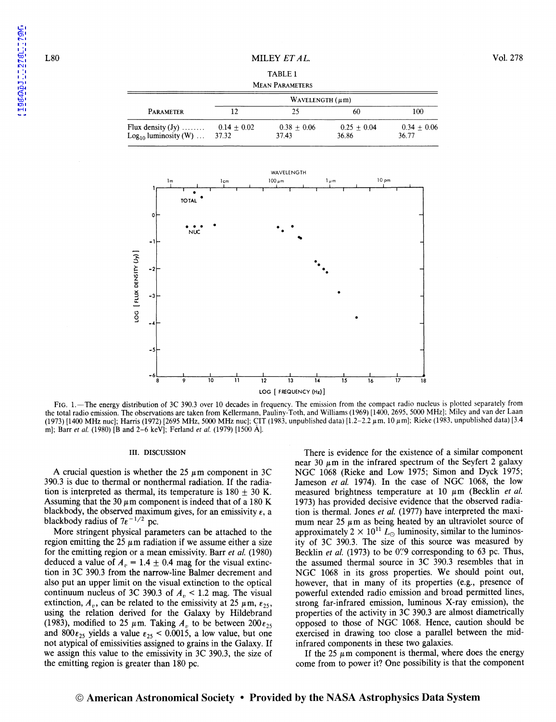[1984ApJ...278L..79M](http://adsabs.harvard.edu/abs/1984ApJ...278L..79M)

1984ApJ...278L..79M

# TABLE 1 MEAN PARAMETERS

| PARAMETER                                        | WAVELENGTH $(\mu m)$   |                        |                        |                        |
|--------------------------------------------------|------------------------|------------------------|------------------------|------------------------|
|                                                  |                        | 25                     | 60                     | 100                    |
| Flux density $(Jy)$<br>$Log_{10}$ luminosity (W) | $0.14 + 0.02$<br>37.32 | $0.38 + 0.06$<br>37.43 | $0.25 + 0.04$<br>36.86 | $0.34 + 0.06$<br>36.77 |



FIG. 1.-The energy distribution of 3C 390.3 over 10 decades in frequency. The emission from the compact radio nucleus is plotted separately from the total radio emission. The observations are taken from Kellermann. Pauliny-Toth, and Williams (1969) [1400, 2695, 5000 MHz]; Miley and van der Laan (1973) [1400 MHz nuc]; Harris (1972) [2695 MHz, 5000 MHz nuc]; CIT (1983, unpublished data) [1.2–2.2  $\mu$ m, 10  $\mu$ m]; Rieke (1983, unpublished data) [3.4 m]; Barr *et al.* (1980) [Band 2-6 keV]; Ferland *et al.* (1979) [1500 AJ.

#### III. DISCUSSION

A crucial question is whether the 25  $\mu$ m component in 3C 390.3 is due to thermal or nonthermal radiation. If the radiation is interpreted as thermal, its temperature is  $180 \pm 30$  K. Assuming that the 30  $\mu$ m component is indeed that of a 180 K blackbody, the observed maximum gives, for an emissivity  $\varepsilon$ , a blackbody radius of  $7\varepsilon^{-1/2}$  pc.

More stringent physical parameters can be attached to the region emitting the 25  $\mu$ m radiation if we assume either a size for the emitting region or a mean emissivity. Barr *et al.* (1980) deduced a value of  $A<sub>n</sub> = 1.4 \pm 0.4$  mag for the visual extinction in 3C 390.3 from the narrow-line Balmer decrement and also put an upper limit on the visual extinction to the optical continuum nucleus of 3C 390.3 of  $A<sub>v</sub> < 1.2$  mag. The visual extinction,  $A_{\nu}$ , can be related to the emissivity at 25  $\mu$ m,  $\varepsilon_{25}$ , using the relation derived for the Galaxy by Hildebrand (1983), modified to 25  $\mu$ m. Taking *A<sub>n</sub>* to be between 200 $\varepsilon_{25}$ and  $800\epsilon_{25}$  yields a value  $\epsilon_{25}$  < 0.0015, a low value, but one not atypical of emissivities assigned to grains in the Galaxy. If we assign this value to the emissivity in 3C 390.3, the size of the emitting region is greater than 180 pc.

There is evidence for the existence of a similar component near 30  $\mu$ m in the infrared spectrum of the Seyfert 2 galaxy NGC 1068 (Rieke and Low 1975; Simon and Dyck 1975; Jameson *et al.* 1974). In the case of NGC 1068, the low measured brightness temperature at  $10 \mu m$  (Becklin *et al.* 1973) has provided decisive evidence that the observed radiation is thermal. Jones *et al.* (1977) have interpreted the maximum near 25  $\mu$ m as being heated by an ultraviolet source of approximately  $2 \times 10^{11} L_{\odot}$  luminosity, similar to the luminosity of 3C 390.3. The size of this source was measured by Becklin *et al.* (1973) to be *0':9* corresponding to 63 pc. Thus, the assumed thermal source in 3C 390.3 resembles that in NGC 1068 in its gross properties. We should point out, however, that in many of its properties (e.g., presence of powerful extended radio emission and broad permitted lines, strong far-infrared emission, luminous X-ray emission), the properties of the activity in 3C 390.3 are almost diametrically opposed to those of NGC 1068. Hence, caution should be exercised in drawing too close a parallel between the midinfrared components in these two galaxies.

If the 25  $\mu$ m component is thermal, where does the energy come from to power it? One possibility is that the component